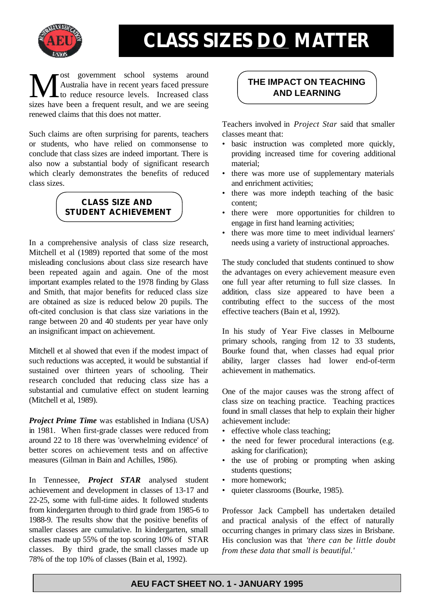

## **CLASS SIZES DO MATTER**

**THE IMPACT ON TEACHING**<br>
to reduce resource levels. Increased class<br>
sizes how heap a fragment result and we are seeing. ost government school systems around Australia have in recent years faced pressure sizes have been a frequent result, and we are seeing renewed claims that this does not matter.

Such claims are often surprising for parents, teachers or students, who have relied on commonsense to conclude that class sizes are indeed important. There is also now a substantial body of significant research which clearly demonstrates the benefits of reduced class sizes.



In a comprehensive analysis of class size research, Mitchell et al (1989) reported that some of the most misleading conclusions about class size research have been repeated again and again. One of the most important examples related to the 1978 finding by Glass and Smith, that major benefits for reduced class size are obtained as size is reduced below 20 pupils. The oft-cited conclusion is that class size variations in the range between 20 and 40 students per year have only an insignificant impact on achievement.

Mitchell et al showed that even if the modest impact of such reductions was accepted, it would be substantial if sustained over thirteen years of schooling. Their research concluded that reducing class size has a substantial and cumulative effect on student learning (Mitchell et al, 1989).

*Project Prime Time* was established in Indiana (USA) in 1981. When first-grade classes were reduced from around 22 to 18 there was 'overwhelming evidence' of better scores on achievement tests and on affective measures (Gilman in Bain and Achilles, 1986).

In Tennessee, *Project STAR* analysed student achievement and development in classes of 13-17 and 22-25, some with full-time aides. It followed students from kindergarten through to third grade from 1985-6 to 1988-9. The results show that the positive benefits of smaller classes are cumulative. In kindergarten, small classes made up 55% of the top scoring 10% of STAR classes. By third grade, the small classes made up 78% of the top 10% of classes (Bain et al, 1992).

Teachers involved in *Project Star* said that smaller classes meant that:

- basic instruction was completed more quickly, providing increased time for covering additional material;
- there was more use of supplementary materials and enrichment activities;
- there was more indepth teaching of the basic content;
- there were more opportunities for children to engage in first hand learning activities;
- there was more time to meet individual learners' needs using a variety of instructional approaches.

The study concluded that students continued to show the advantages on every achievement measure even one full year after returning to full size classes. In addition, class size appeared to have been a contributing effect to the success of the most effective teachers (Bain et al, 1992).

In his study of Year Five classes in Melbourne primary schools, ranging from 12 to 33 students, Bourke found that, when classes had equal prior ability, larger classes had lower end-of-term achievement in mathematics.

One of the major causes was the strong affect of class size on teaching practice. Teaching practices found in small classes that help to explain their higher achievement include:

- effective whole class teaching;
- the need for fewer procedural interactions (e.g. asking for clarification);
- the use of probing or prompting when asking students questions;
- more homework:
- quieter classrooms (Bourke, 1985).

Professor Jack Campbell has undertaken detailed and practical analysis of the effect of naturally occurring changes in primary class sizes in Brisbane. His conclusion was that *'there can be little doubt from these data that small is beautiful.'* 

## **AEU FACT SHEET NO. 1 - JANUARY 1995**